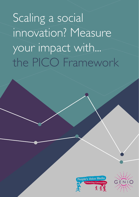Scaling a social innovation? Measure your impact with... the PICO Framework



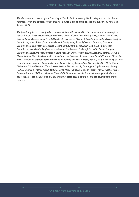*This document is an extract from "Learning As You Scale: A practical guide for using data and insights to navigate scaling and complex system change", a guide that was commissioned and supported by the Genio Trust in 2021.*

*The practical guide has been produced in consultation with actors within the social innovation arena from across Europe. These actors included Madeleine Clarke (Genio), John Healy (Genio), Niamh Lally (Genio), Grainne Smith (Genio), Dana Verbal (Directorate-General Employment, Social Affairs and Inclusion, European Commission), Risto Raivio (Directorate-General Employment, Social Affairs and Inclusion, European Commission), Henk Visser (Directorate-General Employment, Social Affairs and Inclusion, European Commission), Monika Chaba (Directorate-General Employment, Social Affairs and Inclusion, European Commission), Ruth Armstrong (National Social Inclusion Office, Health Service Executive, Ireland), Marieke Altena (National Social Inclusion Office, Health Service Executive, Ireland), David Stead (Maanch), Clémentine Blazy (European Centre for Social Finance & member of the ESCF Advisory Board), Bairbre Nic Aongusa (Irish Department of Rural and Community Development), Gary Johnston (Social Finance UK/NL), Maša Malovrh (Beletrina), Michael Fembek (Zero Project), Assiri Valdes (UpSocial), Ona Argemí (UpSocial), Anja Koenig (EVPA), Stephanie Haefele (Bosch-Stiftung), Luca Pilosu (Compagnia di San Paolo), Hannah Cooper (IDC), Carolina Gottardo (IDC) and Vivienne Chew (IDC). The authors would like to acknowledge their sincere appreciation of the input of time and expertise that these people contributed to the development of this resource.*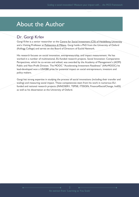# About the Author

### Dr. Gorgi Krlev

Gorgi Krlev is a senior researcher at the [Centre for Social Investment \(CSI\) of Heidelberg University](https://www.soz.uni-heidelberg.de/centre-for-social-investment/) and a Visiting Professor at [Politecnico di Milano.](https://www.polimi.it/en/) Gorgi holds a PhD from the University of Oxford (Kellogg College) and serves on the Board of Directors of Euclid Network.

His research focuses on social innovation, entrepreneurship, and impact measurement. He has worked in a number of multinational, EU-funded research projects. Social Innovation: Comparative Perspectives, which he co-wrote and edited, was awarded by the Academy of Management's (AOM) Public and Non-Profit Division. The MOOC "Accelerating Investment Readiness" (#AirMOOC) he lead-developed won a USASBE prize for potential impact on social entrepreneurs, investors and policy makers.

Gorgi has strong expertise in studying the process of social innovations (including their transfer and scaling) and measuring social impact. These competencies stem from his work in numerous EUfunded and national research projects (INNOSERV, TEPSIE, ITSSOIN, Finance4SocialChange, IndiSI) as well as his dissertation at the University of Oxford.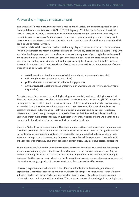### A word on impact measurement

The amount of impact measurement tools is vast, and their variety and concrete application have been well documented (see Avise, 2021; GECES Sub-group, 2014; European Commission & the OECD, 2015; Tuan, 2008). You may be aware of many others and you could choose to integrate those into your Learning As You Scale plan. Rather than repeating existing resources, we provide these three accessible tools and a number of strategic considerations that will help you decide which tools to use to measure impact.

It is well established that economic value creation may play a pronounced role in social innovations, which may therefore represent a substantial share of relevant key performance indicators (KPIs). Any activities that help prevent public transfers, such as work integration efforts, might be well covered and analysed with classic cost-benefit analyses that focus on how much the state has saved by the innovator succeeding to provide unemployed people with a job. However, as detailed in Section 1, it is essential to understand that a large share of social innovations will focus on the creation of other types of value or impact such as:

- **social** (questions about interpersonal relations and networks, people's lives etc.)
- **cultural** (questions about norms and values)
- **political** (questions about participation and engagement)
- **environmental** (questions about preserving our environment and limiting environmental degradation)

Assessing such effects demands a much higher degree of creativity and methodological complexity. There are a range of ways that this can be achieved. Social return on investment (SROI) methods is one approach that enables people to assess the value of their social innovations that are not usually assessed via traditional financial value measurement tools. However, this is not the only way of assessing the social, cultural and political value of social innovations and, as Section 4 explores, different decision-makers, gatekeepers and stakeholders can be influenced by different methods. Some will prefer more traditional data or quantitative evidence, whereas others are inclined to be persuaded by individual stories and data with richer qualitative details.

Since the Nobel Prize in Economics of 2019, experimental methods that make use of randomisation have been prominent. Such randomized controlled trials are perhaps viewed as the 'gold standard' for evidence and thus social innovators may assume that such methods should be what they use when measuring impact. However, it is important to note that while experimental methods, which are very resource-intensive, have their benefits in certain areas, they also have serious limitations.

Randomisation has its benefits when interventions represent 'easy fixes' to a problem, for example when a vaccination may prevent a disease. In such a case, the desired outcome or impact (higher immunization) equals or is close to the outputs produced (number of vaccinations performed). In instances like this, you can easily check the incidence of the disease in groups of people who received the vaccine versus groups that did not receive it in order to assess its effectiveness.

However, experimental methods are limited, if not unsuitable, for understanding multifaceted, organizational activities that seek to produce multifactorial changes. For many social innovations we will need detailed accounts of whether interventions enable new social relations, empowerment, or self-worth, or a combination of those effects. This requires contextual knowledge, from multiple data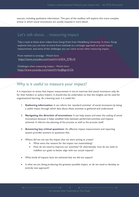sources, including qualitative information. This part of the toolbox will explore this more complex arenas in which social innovations are usually situated in more detail.

### Let's talk about… measuring impact

Take a look at these short videos from Gorgi Krlev from Heidelberg University. In them, Gorgi explores how you can how to move from methods to a strategic approach to social impact measurement, and some of the challenges you can come across when measuring impact.

From method to strategy - Watch here: [https://www.youtube.com/watch?v=jHD4\\_Z781r0](https://www.youtube.com/watch?v=jHD4_Z781r0%20) 

Challenges when measuring impact - Watch here: <https://www.youtube.com/watch?v=boJ8zgn3nOk>

# Why is it useful to measure your impact?

It is important to stress that impact measurement is not an exercise that social innovators only do for their funders or policy makers. It should also be undertaken so that the insights can be used for organisational learning. As a learning tool, it is useful for:

- 1. **Gathering information:** It can inform the 'standard activities' of social innovators by being a useful means through which data about these activities is gathered and understood.
- 2. **Navigating the direction of innovations:** It can help assess and steer the scaling of social innovations because it helps establish links between performed activities and impacts achieved. It informs the planning of the process as well as the process itself.
- 3. **Answering key critical questions:** An effective impact measurement and reporting system provides answers to questions like:
- Where did we not see the impact that we were aiming to create?
	- What were the reasons for the impact not materializing?
	- How do we need to improve our activities? Or alternatively, how do we need to redefine our goals to better align with our actual impacts?
- What kinds of impacts have we achieved that we did not expect?
- Is what we are doing producing the greatest possible impact, or do we need to develop an entirely new approach?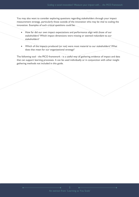You may also want to consider exploring questions regarding stakeholders through your impact measurement strategy, particularly those outside of the innovation who may be vital to scaling the innovation. Examples of such critical questions could be:

- How far did our own impact expectations and performance align with those of our stakeholders? Which impact dimensions were missing or seemed redundant to our stakeholders?
- Which of the impacts produced (or not) were most material to our stakeholders? What does that mean for our organizational strategy?

The following tool - the PICO framework - is a useful way of gathering evidence of impact and data that can support learning processes. It can be used individually or in conjunction with other insight gathering methods not included in this guide.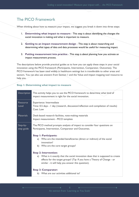## The PICO Framework

When thinking about how to measure your impact, we suggest you break it down into three steps:

- 1. **Determining what impact to measure** This step is about identifying the changes the social innovation is making and what is important to measure.
- 2. **Getting to an impact measurement design** This step is about researching and determining what types of data and data processes would be useful for measuring impact.
- 3. **Putting measurement into practice** This step is about planning how you activate an impact measurement process.

The descriptions below provide practical guides as to how you can apply these steps in your social innovation using the PICO framework (Participants, Intervention, Comparator, Outcomes). The PICO framework has been used widely in healthcare settings but is transferable to other areas and sectors. You can also use answers from Section 1 and the Value and impact mapping tool resource to help you.

### **Step 1: Determining what impact to measure**

| <b>Description</b>     | This activity helps you to use the PICO framework to determine what kind of<br>impact measurement is right for the social innovation.                                                                                                                                                             |
|------------------------|---------------------------------------------------------------------------------------------------------------------------------------------------------------------------------------------------------------------------------------------------------------------------------------------------|
| Resource<br>Level      | Experience: Intermediate<br>Time: 0.5 days - I day (research, discussion/reflection and compilation of results)<br>Cost: Low                                                                                                                                                                      |
| <b>Materials</b>       | Desk-based research facilities, note-making materials<br>Impact measurement - PICO template                                                                                                                                                                                                       |
| Step-by-<br>step guide | The PICO method prompts analysts of impact to consider four questions on<br>Participants, Intervention, Comparator and Outcomes.<br><b>Step I: Participants:</b><br>a) Who are the intended beneficiaries (direct or indirect) of the social<br>innovation?<br>b) Who are the core target groups? |
|                        | <b>Step 2: Intervention:</b><br>a) What is it exactly that the social innovation does that is supposed to create<br>effects for the target groups? (Tip: If you have a Theory of Change - or<br>similar - it will help you answer this question).                                                 |
|                        | <b>Step 3: Comparator:</b><br>b) What are our activities additional to?                                                                                                                                                                                                                           |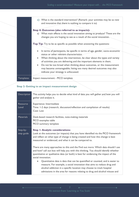|           | c) What is the standard intervention? (Remark: your activities may be so new<br>and innovative that there is nothing to compare it to)                                                                                                                                                                                                                                                                                                                                  |
|-----------|-------------------------------------------------------------------------------------------------------------------------------------------------------------------------------------------------------------------------------------------------------------------------------------------------------------------------------------------------------------------------------------------------------------------------------------------------------------------------|
|           | Step 4: Outcomes (also referred to as impacts):<br>a) What main effects is the social innovation aiming to produce? These are the<br>changes you are hoping to see as a result of the social innovation.                                                                                                                                                                                                                                                                |
|           | <b>Top Tip:</b> Try to be as specific as possible when answering the questions:<br>In terms of participants, be specific in terms of age, gender, socio-economic<br>$\bullet$<br>status or other relevant characteristics.<br>• When thinking about the intervention, be clear about the types and variety<br>of activities you are delivering and the important elements in them.<br>Do not be too broad when thinking about outcomes, or the measurement<br>$\bullet$ |
| Templates | may become unmanageable; listing too many desired outcomes may also<br>indicate your strategy is unfocussed.<br>Impact measurement - PICO template                                                                                                                                                                                                                                                                                                                      |

### **Step 2: Getting to an impact measurement design**

| Description            | This activity helps you to decide what kind of data you will gather and how you will<br>gather and analyse it.                                                                                                                                                                                                                                                                                                                                                                                                                                                                                                                                                                                                                                                                                                                                                                      |
|------------------------|-------------------------------------------------------------------------------------------------------------------------------------------------------------------------------------------------------------------------------------------------------------------------------------------------------------------------------------------------------------------------------------------------------------------------------------------------------------------------------------------------------------------------------------------------------------------------------------------------------------------------------------------------------------------------------------------------------------------------------------------------------------------------------------------------------------------------------------------------------------------------------------|
| Resource<br>Level      | Experience: Intermediate<br>Time: I-2 days (research, discussion/reflection and compilation of results)<br>Cost: Low                                                                                                                                                                                                                                                                                                                                                                                                                                                                                                                                                                                                                                                                                                                                                                |
| <b>Materials</b>       | Desk-based research facilities, note-making materials<br>PICO examples table<br>PICO summary template                                                                                                                                                                                                                                                                                                                                                                                                                                                                                                                                                                                                                                                                                                                                                                               |
| Step-by-<br>step guide | <b>Step I: Analytic considerations:</b><br>Look at the outcomes (or impacts) that you have identified via the PICO framework<br>and reflect on what type of change is being created and how this change is best<br>measured or evidenced, and what it can be compared to.<br>There are many approaches to this and the Find out more: Which data should I use<br>and how? call out box will help you with this thinking. You should identify whether<br>quantitative or qualitative data (or both) is best for evidencing the impact of the<br>social innovation.<br>Quantitative data is data that can be quantified or counted, and is easier to<br>measure. For example, a social innovation that aims to reduce drug and<br>alcohol addiction in a specific location may choose to track hospital<br>admissions in the area for reasons relating to drug and alcohol misuse and |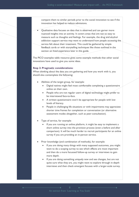compare them to similar periods prior to the social innovation to see if the innovation has helped to reduce admissions.

• Qualitative data focuses on data that is observed and can garner more nuanced insights into an activity. It covers areas that are not so easy to measure such as thoughts and feelings. For example, the drug and alcohol addiction support service may want to understand how people accessing the service felt about their treatment. This could be gathered by simple feedback cards or with storytelling techniques like those outlined in the section on lived experience later in this guide.

The PICO examples table resource gives some example methods that other social innovations have used to give you some ideas.

### **Step 2: Pragmatic considerations:**

When thinking about the data you are gathering and how you work with it, you should also contemplate the following:

- Abilities of the target group, for example:
	- Digital natives might feel most comfortable completing a questionnaire online on their own.
	- People who are not regular users of digital technology might prefer to be interviewed face-to-face.
	- A written questionnaire won't be appropriate for people with low levels of literacy.
	- People in challenging life situations or with impairments may appreciate shorter time frames for completion or conversation (or alternative assessment modes altogether, such as peer-consultation).
- Type of service, for example:
	- If you are running an online platform, it might be easy to implement a short online survey into the provision process (even a before and after comparison). It will be much harder to recruit participants for an online survey if you are providing an in-person service.
- Prior knowledge (and combination of methods), for example:
	- If you are doing many things with many supposed outcomes, you might want to do a scoping survey to see which effects are most important and then do a more focussed follow-up survey or interviews to gain more depth.
	- If you are doing something uniquely new and see changes, but are not quite sure what they are, you might want to explore through in-depth interviews and then check emergent focuses with a larger-scale survey.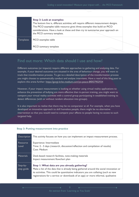#### **Step 3: Look at examples:**

The bottom line is, different activities will require different measurement designs. The PICO examples table resource gives three examples that build on PICO considerations. Have a look at these and then try to summarise your approach on the PICO summary template.

Templates PICO examples table

PICO summary template

### Find out more: Which data should I use and how?

Different outcomes (or impacts) require different approaches to gathering and analysing data. For example, if your desired outcomes are situated in the area of behaviour change, you will want to track that transformation process. To get to a detailed description of the transformation process you might choose to systematically conduct and analyse interviews. Have a read of this blog post to explore this arena further:<https://gorgi-krlev.medium.com/yo-peace-8f0f37902934>

However, if your impact measurement is looking at whether using virtual reality applications to enhance the prevention of bullying are more effective than in-person training, you might want to compare your virtual reality activities with a control group participating in established training to detect differences (with or without random allocation into groups).

It is also important to realise that there may be no comparator at all. For example, when you have developed an innovative approach to skill homeless people, there might be no alternative intervention so that you would need to compare your effects to people having no access to such targeted help.

#### **Step 3: Putting measurement into practice**

| <b>Description</b>     | This activity focuses on how you can implement an impact measurement process.                                                                                                                                                                                                                                       |
|------------------------|---------------------------------------------------------------------------------------------------------------------------------------------------------------------------------------------------------------------------------------------------------------------------------------------------------------------|
| Resource<br>Level      | Experience: Intermediate<br>Time: 2 - 5 days (research, discussion/reflection and compilation of results)<br>Cost: Medium                                                                                                                                                                                           |
| <b>Materials</b>       | Desk-based research facilities, note-making materials<br>Impact measurement flowchart plan                                                                                                                                                                                                                          |
| Step-by-<br>step guide | Step I: What data are you already gathering?<br>Make a list of the data that is already being gathered around the social innovation or<br>its activities. This could be quantitative indicators you are collating (such as new<br>registrations for a service or downloads of an app) or more informal, qualitative |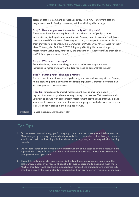pieces of data like comment or feedback cards. The SWOT of current data and insights resource in Section 1, may be useful for thinking this through.

#### **Step 2: How can you work more formally with this data?**

Think about how this existing data could be gathered or analysed in a more systematic way to help demonstrate impact. You may want to do some desk-based research into different ways of working with data, ask people in your team about their knowledge, or approach the Community of Practice you have created for their ideas. You may also find the GECES Sub-group (2014) guide on social impact measurement useful here, particularly the chapters on 'Stakeholders and their needs' and 'Defining good measurement'.

#### **Step 3: Where are the gaps?**

From the above, think about the gaps in data. What else might you need to introduce to gather and analyse the data you need to demonstrate impact?

#### **Step 4: Putting your ideas into practice**

You are now in a position to start gathering your data and working with it. You may find it useful to put this down into the simple Impact measurement flowchart plan we have produced as a resource.

**Top Tip:** First steps into impact measurement may be small and not all organisations need to go the entire way through the process. We recommend that you start to engage with some impact measurement activities and gradually expand your capacity to understand your impact as you progress with the social innovation. This will support scaling in the best possible way.

Templates Impact measurement flowchart plan

### Top Tips

- 1. Do not waste time and energy performing impact measurement merely as a tick-box exercise: Make sure you give enough time to the above activities to properly consider how you measure your impact. Without investing this time, the results you get may not be very valuable learning material.
- 2. Do not feel scared by the complexity of impact: Use the above steps to define a measurement approach that is right for you. Start with small, simple ventures into impact measurement and then grow them as you scale.
- 3. Think differently about what you consider to be data. Important reference points could be: testimonials, feedback you receive at stakeholder events, social media posts and much more. Much of this data would need to be expanded and gathered and analysed more systematically than this is usually the case in standard practice, but it can provide a very valuable starting point.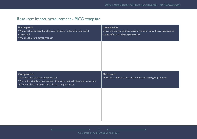# Resource: Impact measurement - PICO template

| <b>Intervention</b><br>What is it exactly that the social innovation does that is supposed to<br>create effects for the target groups? |
|----------------------------------------------------------------------------------------------------------------------------------------|
|                                                                                                                                        |
|                                                                                                                                        |
| <b>Outcomes</b><br>What main effects is the social innovation aiming to produce?                                                       |
|                                                                                                                                        |
|                                                                                                                                        |
|                                                                                                                                        |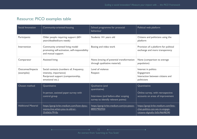# Resource: PICO examples table

| Social Innovation              | Community-oriented housing                                                                                                 | School programme for prosocial<br>behaviour                                                                      | Political web platform                                                                                     |
|--------------------------------|----------------------------------------------------------------------------------------------------------------------------|------------------------------------------------------------------------------------------------------------------|------------------------------------------------------------------------------------------------------------|
| Participants                   | Older people requiring support (60+<br>years/disabled/care needs)                                                          | Students 14+ years old                                                                                           | Citizens and politicians using the<br>platform                                                             |
| Intervention                   | Community oriented living model<br>promoting self-activation, self-responsibility<br>and mutual support                    | Boxing and video work                                                                                            | Provision of a platform for political<br>exchange and more transparency                                    |
| Comparator                     | <b>Assisted living</b>                                                                                                     | None (tracing of potential transformation<br>through qualitative material)                                       | None (comparison to average<br>population)                                                                 |
| Outcomes/Impacts<br>(examples) | Social contacts (numbers of, frequency,<br>intensity, importance)<br>Reciprocal support (companionship,<br>emotional etc.) | Level of violence<br>Respect                                                                                     | Interest in politics<br>Engagement<br>Interaction between citizens and<br>politicians                      |
| Chosen method                  | <b>Quantitative</b><br>In-person, assisted paper-survey with<br>control group                                              | Qualitative (and<br>quantitative)<br>Interviews (and before-after scoping<br>survey to identify relevant points) | Quantitative<br>Online survey, with retrospective<br>accounts on areas of improvement                      |
| <b>Additional Material</b>     | https://gorgi-krlev.medium.com/how-dyou-<br>wanna-live-when-you-re-old-er-<br>35d565c7910c                                 | https://gorgi-krlev.medium.com/yo-peace-<br>8f0f37902934                                                         | https://gorgi-krlev.medium.com/lets-<br>chat-politics-can-we-re-engage-<br>citizens-digitally-5d5c96b98290 |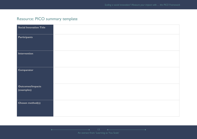# Resource: PICO summary template

| Social Innovation Title               |  |
|---------------------------------------|--|
| <b>Participants</b>                   |  |
| Intervention                          |  |
| Comparator                            |  |
| <b>Outcomes/Impacts</b><br>(examples) |  |
| Chosen method(s)                      |  |